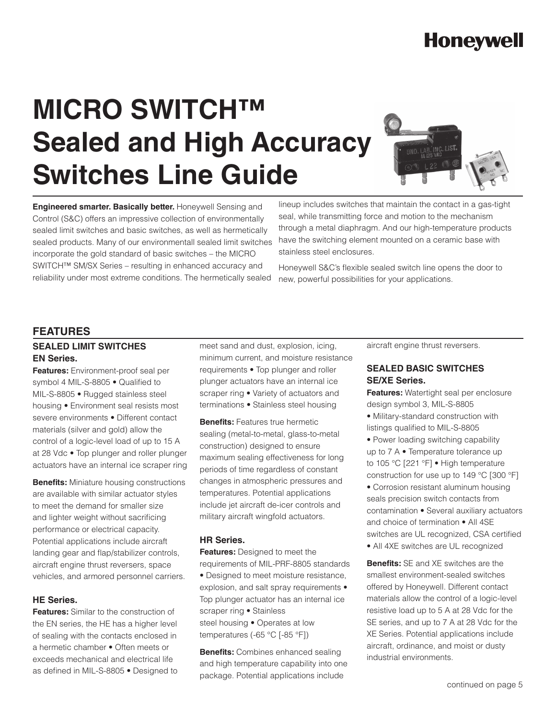# **Honeywell**

# **MICRO SWITCH™ Sealed and High Accuracy Switches Line Guide**



**Engineered smarter. Basically better.** Honeywell Sensing and Control (S&C) offers an impressive collection of environmentally sealed limit switches and basic switches, as well as hermetically sealed products. Many of our environmentall sealed limit switches incorporate the gold standard of basic switches – the MICRO SWITCH™ SM/SX Series – resulting in enhanced accuracy and reliability under most extreme conditions. The hermetically sealed

lineup includes switches that maintain the contact in a gas-tight seal, while transmitting force and motion to the mechanism through a metal diaphragm. And our high-temperature products have the switching element mounted on a ceramic base with stainless steel enclosures.

Honeywell S&C's flexible sealed switch line opens the door to new, powerful possibilities for your applications.

#### **FEATURES**

#### **SEALED LIMIT SWITCHES EN Series.**

**Features:** Environment-proof seal per symbol 4 MIL-S-8805 • Qualified to MIL-S-8805 • Rugged stainless steel housing • Environment seal resists most severe environments • Different contact materials (silver and gold) allow the control of a logic-level load of up to 15 A at 28 Vdc • Top plunger and roller plunger actuators have an internal ice scraper ring

**Benefits:** Miniature housing constructions are available with similar actuator styles to meet the demand for smaller size and lighter weight without sacrificing performance or electrical capacity. Potential applications include aircraft landing gear and flap/stabilizer controls, aircraft engine thrust reversers, space vehicles, and armored personnel carriers.

#### **HE Series.**

**Features:** Similar to the construction of the EN series, the HE has a higher level of sealing with the contacts enclosed in a hermetic chamber • Often meets or exceeds mechanical and electrical life as defined in MIL-S-8805 • Designed to meet sand and dust, explosion, icing, minimum current, and moisture resistance requirements • Top plunger and roller plunger actuators have an internal ice scraper ring • Variety of actuators and terminations • Stainless steel housing

**Benefits:** Features true hermetic sealing (metal-to-metal, glass-to-metal construction) designed to ensure maximum sealing effectiveness for long periods of time regardless of constant changes in atmospheric pressures and temperatures. Potential applications include jet aircraft de-icer controls and military aircraft wingfold actuators.

#### **HR Series.**

**Features:** Designed to meet the requirements of MIL-PRF-8805 standards • Designed to meet moisture resistance, explosion, and salt spray requirements • Top plunger actuator has an internal ice scraper ring • Stainless steel housing • Operates at low temperatures (-65 °C [-85 °F])

**Benefits:** Combines enhanced sealing and high temperature capability into one package. Potential applications include

aircraft engine thrust reversers.

#### **SEALED BASIC SWITCHES SE/XE Series.**

**Features:** Watertight seal per enclosure design symbol 3, MIL-S-8805

- Military-standard construction with listings qualified to MIL-S-8805
- Power loading switching capability up to 7 A • Temperature tolerance up to 105 °C [221 °F] • High temperature construction for use up to 149 °C [300 °F]
- Corrosion resistant aluminum housing seals precision switch contacts from contamination • Several auxiliary actuators and choice of termination • All 4SE switches are UL recognized, CSA certified
- All 4XE switches are UL recognized

**Benefits:** SE and XE switches are the smallest environment-sealed switches offered by Honeywell. Different contact materials allow the control of a logic-level resistive load up to 5 A at 28 Vdc for the SE series, and up to 7 A at 28 Vdc for the XE Series. Potential applications include aircraft, ordinance, and moist or dusty industrial environments.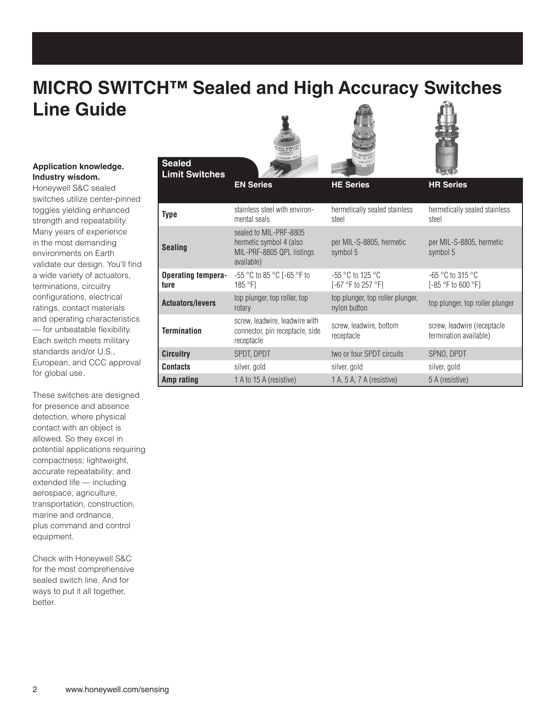### **MICRO SWITCH™ Sealed and High Accuracy Switches Line Guide**

#### **Application knowledge. Industry wisdom.**

**Sealed**

Honeywell S&C sealed switches utilize center-pinned toggles yielding enhanced strength and repeatability. Many years of experience in the most demanding environments on Earth validate our design. You'll find a wide variety of actuators, terminations, circuitry configurations, electrical ratings, contact materials and operating characteristics — for unbeatable flexibility. Each switch meets military standards and/or U.S., European, and CCC approval for global use.

These switches are designed for presence and absence detection, where physical contact with an object is allowed. So they excel in potential applications requiring compactness; lightweight, accurate repeatability; and extended life — including aerospace, agriculture, transportation, construction, marine and ordnance, plus command and control equipment.

Check with Honeywell S&C for the most comprehensive sealed switch line. And for ways to put it all together, better.





| <b>Limit Switches</b>             |                                                                                              |                                                  | $\mathbf{u}_{\text{max}}$                             |
|-----------------------------------|----------------------------------------------------------------------------------------------|--------------------------------------------------|-------------------------------------------------------|
|                                   | <b>EN Series</b>                                                                             | <b>HE Series</b>                                 | <b>HR Series</b>                                      |
| <b>Type</b>                       | stainless steel with environ-<br>mental seals                                                | hermetically sealed stainless<br>steel           | hermetically sealed stainless<br>steel                |
| <b>Sealing</b>                    | sealed to MIL-PRF-8805<br>hermetic symbol 4 (also<br>MIL-PRF-8805 QPL listings<br>available) | per MIL-S-8805, hermetic<br>symbol 5             | per MIL-S-8805, hermetic<br>symbol 5                  |
| <b>Operating tempera-</b><br>ture | -55 °C to 85 °C [-65 °F to<br>185 °F1                                                        | $-55$ °C to 125 °C<br>[-67 °F to 257 °F]         | -65 °C to 315 °C<br>$[-85 °F$ to 600 $°F$ ]           |
| <b>Actuators/levers</b>           | top plunger, top roller, top<br>rotary                                                       | top plunger, top roller plunger,<br>nylon button | top plunger, top roller plunger                       |
| <b>Termination</b>                | screw, leadwire, leadwire with<br>connector, pin receptacle, side<br>receptacle              | screw, leadwire, bottom<br>receptacle            | screw, leadwire (receptacle<br>termination available) |
| <b>Circuitry</b>                  | SPDT, DPDT                                                                                   | two or four SPDT circuits                        | SPNO, DPDT                                            |
| <b>Contacts</b>                   | silver, gold                                                                                 | silver, gold                                     | silver, gold                                          |
| Amp rating                        | 1 A to 15 A (resistive)                                                                      | 1 A, 5 A, 7 A (resistive)                        | 5 A (resistive)                                       |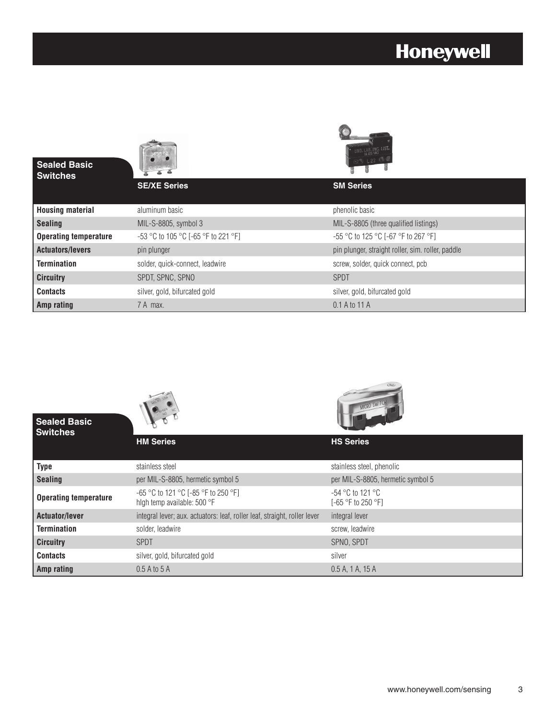### **Honeywell**

| <b>Sealed Basic</b><br><b>Switches</b> |                                     | <b>@ 0 L 22</b>                                   |  |
|----------------------------------------|-------------------------------------|---------------------------------------------------|--|
|                                        | <b>SE/XE Series</b>                 | <b>SM Series</b>                                  |  |
| <b>Housing material</b>                | aluminum basic                      | phenolic basic                                    |  |
| <b>Sealing</b>                         | MIL-S-8805, symbol 3                | MIL-S-8805 (three qualified listings)             |  |
| <b>Operating temperature</b>           | -53 °C to 105 °C [-65 °F to 221 °F] | -55 °C to 125 °C [-67 °F to 267 °F]               |  |
| <b>Actuators/levers</b>                | pin plunger                         | pin plunger, straight roller, sim. roller, paddle |  |
| <b>Termination</b>                     | solder, quick-connect, leadwire     | screw, solder, quick connect, pcb                 |  |
| <b>Circuitry</b>                       | SPDT, SPNC, SPNO                    | <b>SPDT</b>                                       |  |
| <b>Contacts</b>                        | silver, gold, bifurcated gold       | silver, gold, bifurcated gold                     |  |
| Amp rating                             | 7 A max.                            | 0.1 A to 11 A                                     |  |

6

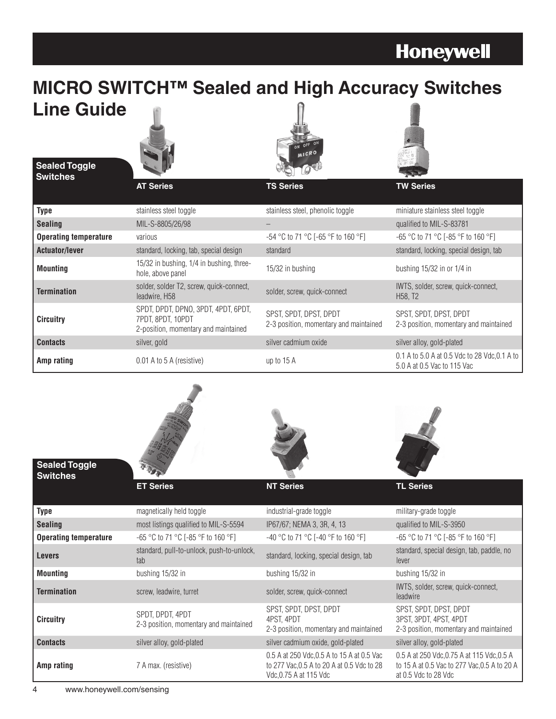## **Honeywell**

### **MICRO SWITCH™ Sealed and High Accuracy Switches Line Guide**



**Sealed Toggle Switches**





|                              | <b>AT Series</b>                                                                                 | <b>TS Series</b>                                                 | <b>TW Series</b>                                                             |
|------------------------------|--------------------------------------------------------------------------------------------------|------------------------------------------------------------------|------------------------------------------------------------------------------|
| <b>Type</b>                  | stainless steel toggle                                                                           | stainless steel, phenolic toggle                                 | miniature stainless steel toggle                                             |
| <b>Sealing</b>               | MIL-S-8805/26/98                                                                                 |                                                                  | qualified to MIL-S-83781                                                     |
| <b>Operating temperature</b> | various                                                                                          | $-54$ °C to 71 °C [-65 °F to 160 °F]                             | -65 °C to 71 °C [-85 °F to 160 °F]                                           |
| <b>Actuator/lever</b>        | standard, locking, tab, special design                                                           | standard                                                         | standard, locking, special design, tab                                       |
| <b>Mounting</b>              | 15/32 in bushing, 1/4 in bushing, three-<br>hole, above panel                                    | 15/32 in bushing                                                 | bushing $15/32$ in or $1/4$ in                                               |
| <b>Termination</b>           | solder, solder T2, screw, quick-connect,<br>leadwire, H58                                        | solder, screw, quick-connect                                     | IWTS, solder, screw, quick-connect,<br>H <sub>58</sub> , T <sub>2</sub>      |
| <b>Circuitry</b>             | SPDT, DPDT, DPNO, 3PDT, 4PDT, 6PDT,<br>7PDT. 8PDT. 10PDT<br>2-position, momentary and maintained | SPST, SPDT, DPST, DPDT<br>2-3 position, momentary and maintained | SPST, SPDT, DPST, DPDT<br>2-3 position, momentary and maintained             |
| <b>Contacts</b>              | silver, gold                                                                                     | silver cadmium oxide                                             | silver alloy, gold-plated                                                    |
| Amp rating                   | 0.01 A to 5 A (resistive)                                                                        | up to 15 A                                                       | 0.1 A to 5.0 A at 0.5 Vdc to 28 Vdc, 0.1 A to<br>5.0 A at 0.5 Vac to 115 Vac |







| <b>Sealed Toggle</b><br><b>Switches</b> |                                                            |                                                                                                                    |                                                                                                                    |
|-----------------------------------------|------------------------------------------------------------|--------------------------------------------------------------------------------------------------------------------|--------------------------------------------------------------------------------------------------------------------|
|                                         | <b>ET Series</b>                                           | <b>NT Series</b>                                                                                                   | <b>TL Series</b>                                                                                                   |
| <b>Type</b>                             | magnetically held toggle                                   | industrial-grade toggle                                                                                            | military-grade toggle                                                                                              |
| <b>Sealing</b>                          | most listings qualified to MIL-S-5594                      | IP67/67; NEMA 3, 3R, 4, 13                                                                                         | qualified to MIL-S-3950                                                                                            |
| <b>Operating temperature</b>            | -65 °C to 71 °C [-85 °F to 160 °F]                         | -40 °C to 71 °C [-40 °F to 160 °F]                                                                                 | -65 °C to 71 °C [-85 °F to 160 °F]                                                                                 |
| <b>Levers</b>                           | standard, pull-to-unlock, push-to-unlock,<br>tab           | standard, locking, special design, tab                                                                             | standard, special design, tab, paddle, no<br>lever                                                                 |
| <b>Mounting</b>                         | bushing 15/32 in                                           | bushing 15/32 in                                                                                                   | bushing 15/32 in                                                                                                   |
| <b>Termination</b>                      | screw, leadwire, turret                                    | solder, screw, quick-connect                                                                                       | IWTS, solder, screw, quick-connect,<br>leadwire                                                                    |
| <b>Circuitry</b>                        | SPDT. DPDT. 4PDT<br>2-3 position, momentary and maintained | SPST, SPDT, DPST, DPDT<br>4PST. 4PDT<br>2-3 position, momentary and maintained                                     | SPST, SPDT, DPST, DPDT<br>3PST, 3PDT, 4PST, 4PDT<br>2-3 position, momentary and maintained                         |
| <b>Contacts</b>                         | silver alloy, gold-plated                                  | silver cadmium oxide, gold-plated                                                                                  | silver alloy, gold-plated                                                                                          |
| Amp rating                              | 7 A max. (resistive)                                       | 0.5 A at 250 Vdc, 0.5 A to 15 A at 0.5 Vac<br>to 277 Vac, 0.5 A to 20 A at 0.5 Vdc to 28<br>Vdc, 0.75 A at 115 Vdc | 0.5 A at 250 Vdc, 0.75 A at 115 Vdc, 0.5 A<br>to 15 A at 0.5 Vac to 277 Vac, 0.5 A to 20 A<br>at 0.5 Vdc to 28 Vdc |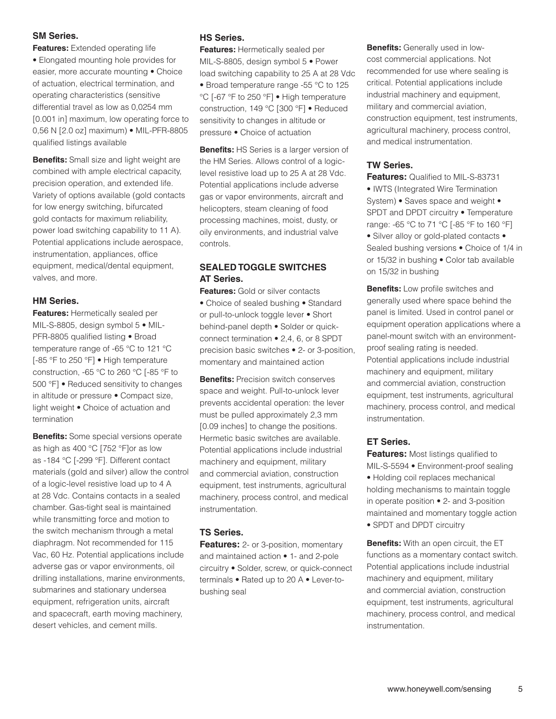#### **SM Series.**

**Features:** Extended operating life • Elongated mounting hole provides for easier, more accurate mounting • Choice of actuation, electrical termination, and operating characteristics (sensitive differential travel as low as 0,0254 mm [0.001 in] maximum, low operating force to 0,56 N [2.0 oz] maximum) • MIL-PFR-8805 qualified listings available

**Benefits:** Small size and light weight are combined with ample electrical capacity, precision operation, and extended life. Variety of options available (gold contacts for low energy switching, bifurcated gold contacts for maximum reliability, power load switching capability to 11 A). Potential applications include aerospace, instrumentation, appliances, office equipment, medical/dental equipment, valves, and more.

#### **HM Series.**

**Features:** Hermetically sealed per MIL-S-8805, design symbol 5 • MIL-PFR-8805 qualified listing • Broad temperature range of -65 °C to 121 °C [-85 °F to 250 °F] • High temperature construction, -65 °C to 260 °C [-85 °F to 500 °F] • Reduced sensitivity to changes in altitude or pressure • Compact size, light weight • Choice of actuation and termination

**Benefits:** Some special versions operate as high as 400 °C [752 °F]or as low as -184 °C [-299 °F]. Different contact materials (gold and silver) allow the control of a logic-level resistive load up to 4 A at 28 Vdc. Contains contacts in a sealed chamber. Gas-tight seal is maintained while transmitting force and motion to the switch mechanism through a metal diaphragm. Not recommended for 115 Vac, 60 Hz. Potential applications include adverse gas or vapor environments, oil drilling installations, marine environments, submarines and stationary undersea equipment, refrigeration units, aircraft and spacecraft, earth moving machinery, desert vehicles, and cement mills.

#### **HS Series.**

**Features:** Hermetically sealed per MIL-S-8805, design symbol 5 • Power load switching capability to 25 A at 28 Vdc • Broad temperature range -55 °C to 125 °C [-67 °F to 250 °F] • High temperature construction, 149 °C [300 °F] • Reduced sensitivity to changes in altitude or pressure • Choice of actuation

**Benefits:** HS Series is a larger version of the HM Series. Allows control of a logiclevel resistive load up to 25 A at 28 Vdc. Potential applications include adverse gas or vapor environments, aircraft and helicopters, steam cleaning of food processing machines, moist, dusty, or oily environments, and industrial valve controls.

#### **SEALED TOGGLE SWITCHES AT Series.**

**Features:** Gold or silver contacts • Choice of sealed bushing • Standard or pull-to-unlock toggle lever • Short behind-panel depth • Solder or quickconnect termination • 2,4, 6, or 8 SPDT precision basic switches • 2- or 3-position, momentary and maintained action

**Benefits:** Precision switch conserves space and weight. Pull-to-unlock lever prevents accidental operation: the lever must be pulled approximately 2,3 mm [0.09 inches] to change the positions. Hermetic basic switches are available. Potential applications include industrial machinery and equipment, military and commercial aviation, construction equipment, test instruments, agricultural machinery, process control, and medical instrumentation.

#### **TS Series.**

**Features:** 2- or 3-position, momentary and maintained action • 1- and 2-pole circuitry • Solder, screw, or quick-connect terminals • Rated up to 20 A • Lever-tobushing seal

**Benefits:** Generally used in lowcost commercial applications. Not recommended for use where sealing is critical. Potential applications include industrial machinery and equipment, military and commercial aviation, construction equipment, test instruments, agricultural machinery, process control, and medical instrumentation.

#### **TW Series.**

**Features:** Qualified to MIL-S-83731 • IWTS (Integrated Wire Termination System) • Saves space and weight • SPDT and DPDT circuitry • Temperature range: -65 °C to 71 °C [-85 °F to 160 °F] • Silver alloy or gold-plated contacts • Sealed bushing versions • Choice of 1/4 in or 15/32 in bushing • Color tab available on 15/32 in bushing

**Benefits:** Low profile switches and generally used where space behind the panel is limited. Used in control panel or equipment operation applications where a panel-mount switch with an environmentproof sealing rating is needed. Potential applications include industrial machinery and equipment, military and commercial aviation, construction equipment, test instruments, agricultural machinery, process control, and medical instrumentation.

#### **ET Series.**

**Features:** Most listings qualified to MIL-S-5594 • Environment-proof sealing • Holding coil replaces mechanical holding mechanisms to maintain toggle in operate position • 2- and 3-position maintained and momentary toggle action • SPDT and DPDT circuitry

**Benefits:** With an open circuit, the ET functions as a momentary contact switch. Potential applications include industrial machinery and equipment, military and commercial aviation, construction equipment, test instruments, agricultural machinery, process control, and medical instrumentation.